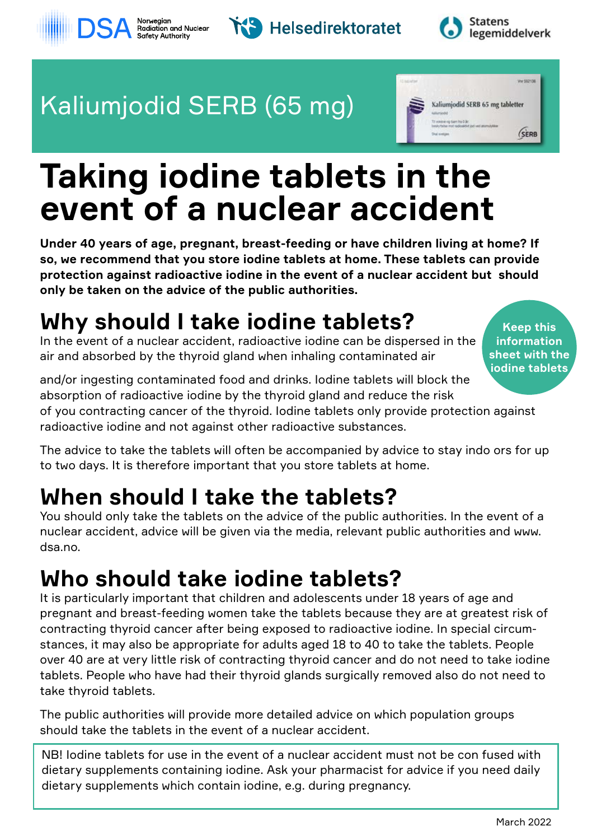# **Taking iodine tablets in the event of a nuclear accident**

**Under 40 years of age, pregnant, breast-feeding or have children living at home? If so, we recommend that you store iodine tablets at home. These tablets can provide protection against radioactive iodine in the event of a nuclear accident but should only be taken on the advice of the public authorities.**

## **Why should I take iodine tablets?**

In the event of a nuclear accident, radioactive iodine can be dispersed in the air and absorbed by the thyroid gland when inhaling contaminated air

and/or ingesting contaminated food and drinks. Iodine tablets will block the absorption of radioactive iodine by the thyroid gland and reduce the risk of you contracting cancer of the thyroid. Iodine tablets only provide protection against radioactive iodine and not against other radioactive substances. **iodine tablets**

The advice to take the tablets will often be accompanied by advice to stay indo ors for up to two days. It is therefore important that you store tablets at home.

### **When should I take the tablets?**

You should only take the tablets on the advice of the public authorities. In the event of a nuclear accident, advice will be given via the media, relevant public authorities and www. dsa.no.

### **Who should take iodine tablets?**

It is particularly important that children and adolescents under 18 years of age and pregnant and breast-feeding women take the tablets because they are at greatest risk of contracting thyroid cancer after being exposed to radioactive iodine. In special circumstances, it may also be appropriate for adults aged 18 to 40 to take the tablets. People over 40 are at very little risk of contracting thyroid cancer and do not need to take iodine tablets. People who have had their thyroid glands surgically removed also do not need to take thyroid tablets.

The public authorities will provide more detailed advice on which population groups should take the tablets in the event of a nuclear accident.

NB! Iodine tablets for use in the event of a nuclear accident must not be con fused with dietary supplements containing iodine. Ask your pharmacist for advice if you need daily dietary supplements which contain iodine, e.g. during pregnancy.





**Statens** legemiddelverk





**sheet with the**